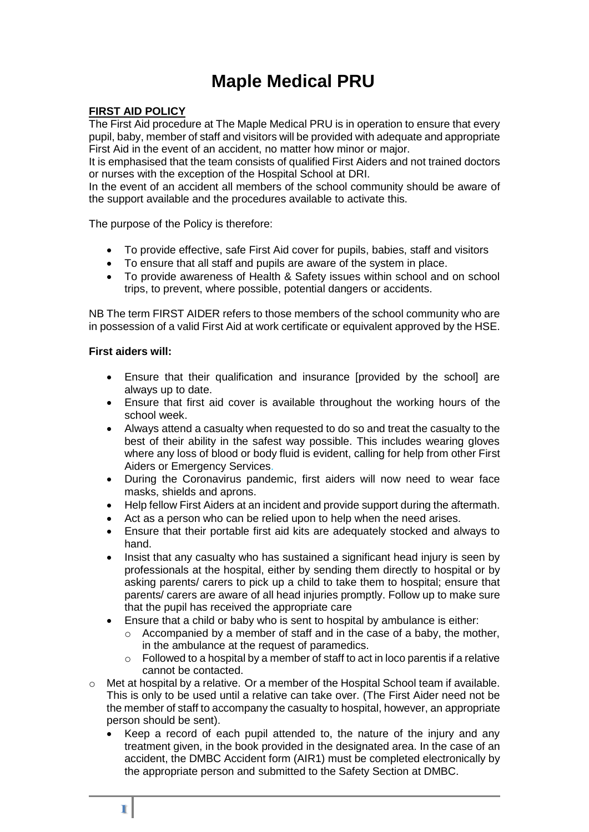# **Maple Medical PRU**

# **FIRST AID POLICY**

The First Aid procedure at The Maple Medical PRU is in operation to ensure that every pupil, baby, member of staff and visitors will be provided with adequate and appropriate First Aid in the event of an accident, no matter how minor or major.

It is emphasised that the team consists of qualified First Aiders and not trained doctors or nurses with the exception of the Hospital School at DRI.

In the event of an accident all members of the school community should be aware of the support available and the procedures available to activate this.

The purpose of the Policy is therefore:

- To provide effective, safe First Aid cover for pupils, babies, staff and visitors
- To ensure that all staff and pupils are aware of the system in place.
- To provide awareness of Health & Safety issues within school and on school trips, to prevent, where possible, potential dangers or accidents.

NB The term FIRST AIDER refers to those members of the school community who are in possession of a valid First Aid at work certificate or equivalent approved by the HSE.

#### **First aiders will:**

- Ensure that their qualification and insurance [provided by the school] are always up to date.
- Ensure that first aid cover is available throughout the working hours of the school week.
- Always attend a casualty when requested to do so and treat the casualty to the best of their ability in the safest way possible. This includes wearing gloves where any loss of blood or body fluid is evident, calling for help from other First Aiders or Emergency Services.
- During the Coronavirus pandemic, first aiders will now need to wear face masks, shields and aprons.
- Help fellow First Aiders at an incident and provide support during the aftermath.
- Act as a person who can be relied upon to help when the need arises.
- Ensure that their portable first aid kits are adequately stocked and always to hand.
- Insist that any casualty who has sustained a significant head injury is seen by professionals at the hospital, either by sending them directly to hospital or by asking parents/ carers to pick up a child to take them to hospital; ensure that parents/ carers are aware of all head injuries promptly. Follow up to make sure that the pupil has received the appropriate care
- Ensure that a child or baby who is sent to hospital by ambulance is either:
	- o Accompanied by a member of staff and in the case of a baby, the mother, in the ambulance at the request of paramedics.
	- $\circ$  Followed to a hospital by a member of staff to act in loco parentis if a relative cannot be contacted.
- o Met at hospital by a relative. Or a member of the Hospital School team if available. This is only to be used until a relative can take over. (The First Aider need not be the member of staff to accompany the casualty to hospital, however, an appropriate person should be sent).
	- Keep a record of each pupil attended to, the nature of the injury and any treatment given, in the book provided in the designated area. In the case of an accident, the DMBC Accident form (AIR1) must be completed electronically by the appropriate person and submitted to the Safety Section at DMBC.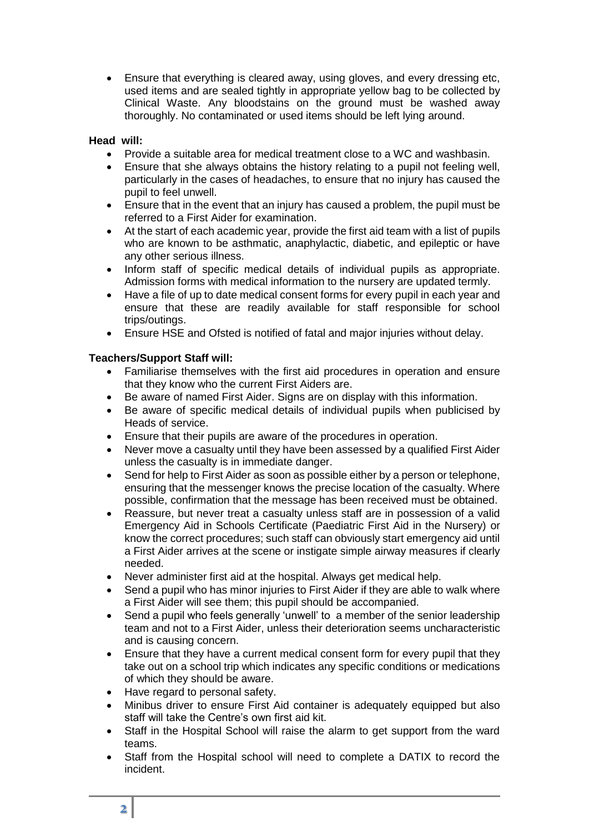Ensure that everything is cleared away, using gloves, and every dressing etc, used items and are sealed tightly in appropriate yellow bag to be collected by Clinical Waste. Any bloodstains on the ground must be washed away thoroughly. No contaminated or used items should be left lying around.

# **Head will:**

- Provide a suitable area for medical treatment close to a WC and washbasin.
- Ensure that she always obtains the history relating to a pupil not feeling well, particularly in the cases of headaches, to ensure that no injury has caused the pupil to feel unwell.
- Ensure that in the event that an injury has caused a problem, the pupil must be referred to a First Aider for examination.
- At the start of each academic year, provide the first aid team with a list of pupils who are known to be asthmatic, anaphylactic, diabetic, and epileptic or have any other serious illness.
- Inform staff of specific medical details of individual pupils as appropriate. Admission forms with medical information to the nursery are updated termly.
- Have a file of up to date medical consent forms for every pupil in each year and ensure that these are readily available for staff responsible for school trips/outings.
- Ensure HSE and Ofsted is notified of fatal and major injuries without delay.

# **Teachers/Support Staff will:**

- Familiarise themselves with the first aid procedures in operation and ensure that they know who the current First Aiders are.
- Be aware of named First Aider. Signs are on display with this information.
- Be aware of specific medical details of individual pupils when publicised by Heads of service.
- Ensure that their pupils are aware of the procedures in operation.
- Never move a casualty until they have been assessed by a qualified First Aider unless the casualty is in immediate danger.
- Send for help to First Aider as soon as possible either by a person or telephone, ensuring that the messenger knows the precise location of the casualty. Where possible, confirmation that the message has been received must be obtained.
- Reassure, but never treat a casualty unless staff are in possession of a valid Emergency Aid in Schools Certificate (Paediatric First Aid in the Nursery) or know the correct procedures; such staff can obviously start emergency aid until a First Aider arrives at the scene or instigate simple airway measures if clearly needed.
- Never administer first aid at the hospital. Always get medical help.
- Send a pupil who has minor injuries to First Aider if they are able to walk where a First Aider will see them; this pupil should be accompanied.
- Send a pupil who feels generally 'unwell' to a member of the senior leadership team and not to a First Aider, unless their deterioration seems uncharacteristic and is causing concern.
- Ensure that they have a current medical consent form for every pupil that they take out on a school trip which indicates any specific conditions or medications of which they should be aware.
- Have regard to personal safety.
- Minibus driver to ensure First Aid container is adequately equipped but also staff will take the Centre's own first aid kit.
- Staff in the Hospital School will raise the alarm to get support from the ward teams.
- Staff from the Hospital school will need to complete a DATIX to record the incident.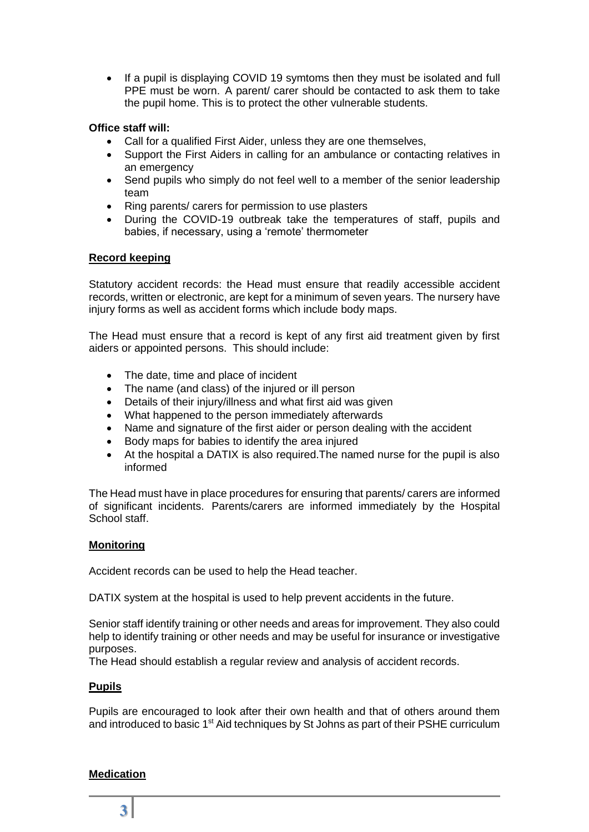If a pupil is displaying COVID 19 symtoms then they must be isolated and full PPE must be worn. A parent/ carer should be contacted to ask them to take the pupil home. This is to protect the other vulnerable students.

# **Office staff will:**

- Call for a qualified First Aider, unless they are one themselves,
- Support the First Aiders in calling for an ambulance or contacting relatives in an emergency
- Send pupils who simply do not feel well to a member of the senior leadership team
- Ring parents/ carers for permission to use plasters
- During the COVID-19 outbreak take the temperatures of staff, pupils and babies, if necessary, using a 'remote' thermometer

# **Record keeping**

Statutory accident records: the Head must ensure that readily accessible accident records, written or electronic, are kept for a minimum of seven years. The nursery have injury forms as well as accident forms which include body maps.

The Head must ensure that a record is kept of any first aid treatment given by first aiders or appointed persons. This should include:

- The date, time and place of incident
- The name (and class) of the injured or ill person
- Details of their injury/illness and what first aid was given
- What happened to the person immediately afterwards
- Name and signature of the first aider or person dealing with the accident
- Body maps for babies to identify the area injured
- At the hospital a DATIX is also required.The named nurse for the pupil is also informed

The Head must have in place procedures for ensuring that parents/ carers are informed of significant incidents. Parents/carers are informed immediately by the Hospital School staff.

## **Monitoring**

Accident records can be used to help the Head teacher.

DATIX system at the hospital is used to help prevent accidents in the future.

Senior staff identify training or other needs and areas for improvement. They also could help to identify training or other needs and may be useful for insurance or investigative purposes.

The Head should establish a regular review and analysis of accident records.

## **Pupils**

Pupils are encouraged to look after their own health and that of others around them and introduced to basic 1<sup>st</sup> Aid techniques by St Johns as part of their PSHE curriculum

## **Medication**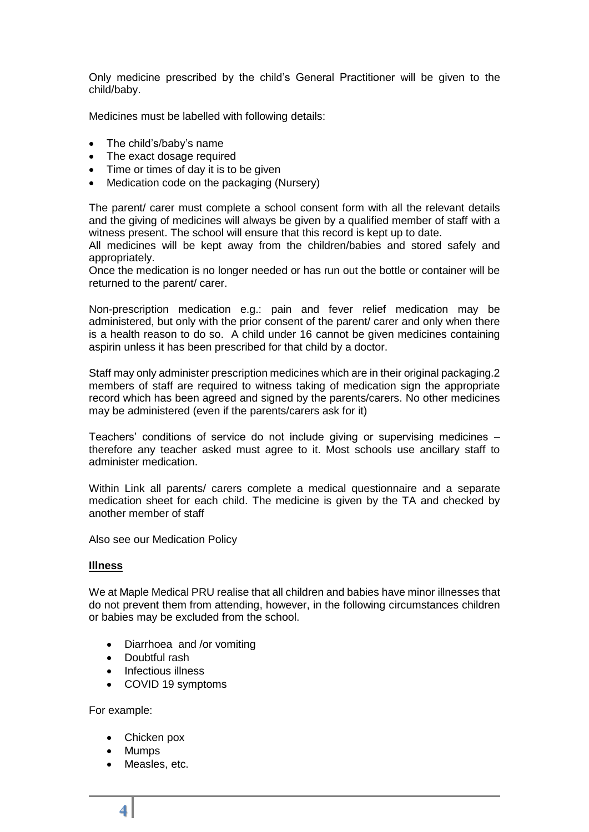Only medicine prescribed by the child's General Practitioner will be given to the child/baby.

Medicines must be labelled with following details:

- The child's/baby's name
- The exact dosage required
- Time or times of day it is to be given
- Medication code on the packaging (Nursery)

The parent/ carer must complete a school consent form with all the relevant details and the giving of medicines will always be given by a qualified member of staff with a witness present. The school will ensure that this record is kept up to date.

All medicines will be kept away from the children/babies and stored safely and appropriately.

Once the medication is no longer needed or has run out the bottle or container will be returned to the parent/ carer.

Non-prescription medication e.g.: pain and fever relief medication may be administered, but only with the prior consent of the parent/ carer and only when there is a health reason to do so. A child under 16 cannot be given medicines containing aspirin unless it has been prescribed for that child by a doctor.

Staff may only administer prescription medicines which are in their original packaging.2 members of staff are required to witness taking of medication sign the appropriate record which has been agreed and signed by the parents/carers. No other medicines may be administered (even if the parents/carers ask for it)

Teachers' conditions of service do not include giving or supervising medicines – therefore any teacher asked must agree to it. Most schools use ancillary staff to administer medication.

Within Link all parents/ carers complete a medical questionnaire and a separate medication sheet for each child. The medicine is given by the TA and checked by another member of staff

Also see our Medication Policy

## **Illness**

We at Maple Medical PRU realise that all children and babies have minor illnesses that do not prevent them from attending, however, in the following circumstances children or babies may be excluded from the school.

- Diarrhoea and /or vomiting
- Doubtful rash
- Infectious illness
- COVID 19 symptoms

For example:

- Chicken pox
- Mumps
- Measles, etc.